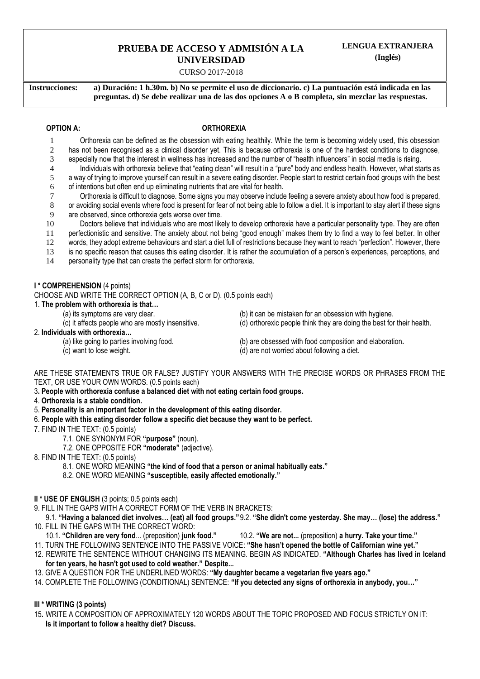# **PRUEBA DE ACCESO Y ADMISIÓN A LA UNIVERSIDAD**

### CURSO 2017-2018

**Instrucciones: a) Duración: 1 h.30m. b) No se permite el uso de diccionario. c) La puntuación está indicada en las preguntas. d) Se debe realizar una de las dos opciones A o B completa, sin mezclar las respuestas.**

## **OPTION A: ORTHOREXIA**

- 1 Orthorexia can be defined as the obsession with eating healthily. While the term is becoming widely used, this obsession 2 has not been recognised as a clinical disorder yet. This is because orthorexia is one of the hardest conditions to diagnose,
- 3 especially now that the interest in wellness has increased and the number of "health influencers" in social media is rising.
- 4 Individuals with orthorexia believe that "eating clean" will result in a "pure" body and endless health. However, what starts as
- 5 a way of trying to improve yourself can result in a severe eating disorder. People start to restrict certain food groups with the best
- 6 of intentions but often end up eliminating nutrients that are vital for health.
- 7 Orthorexia is difficult to diagnose. Some signs you may observe include feeling a severe anxiety about how food is prepared,
- 8 or avoiding social events where food is present for fear of not being able to follow a diet. It is important to stay alert if these signs
- 9 are observed, since orthorexia gets worse over time.
- 10 Doctors believe that individuals who are most likely to develop orthorexia have a particular personality type. They are often
- 11 perfectionistic and sensitive. The anxiety about not being "good enough" makes them try to find a way to feel better. In other
- 12 words, they adopt extreme behaviours and start a diet full of restrictions because they want to reach "perfection". However, there
- 13 is no specific reason that causes this eating disorder. It is rather the accumulation of a person's experiences, perceptions, and
- 14 personality type that can create the perfect storm for orthorexia.

## **I \* COMPREHENSION** (4 points)

CHOOSE AND WRITE THE CORRECT OPTION (A, B, C or D). (0.5 points each)

- 1. **The problem with orthorexia is that…**
	- (a) its symptoms are very clear. (b) it can be mistaken for an obsession with hygiene.
		-

## 2. **Individuals with orthorexia…**

- 
- 
- (c) it affects people who are mostly insensitive. (d) orthorexic people think they are doing the best for their health.
- (a) like going to parties involving food. (b) are obsessed with food composition and elaboration.
- (c) want to lose weight. (d) are not worried about following a diet.

ARE THESE STATEMENTS TRUE OR FALSE? JUSTIFY YOUR ANSWERS WITH THE PRECISE WORDS OR PHRASES FROM THE TEXT, OR USE YOUR OWN WORDS. (0.5 points each)

- 3**. People with orthorexia confuse a balanced diet with not eating certain food groups.**
- 4. **Orthorexia is a stable condition.**
- 5. **Personality is an important factor in the development of this eating disorder.**
- 6. **People with this eating disorder follow a specific diet because they want to be perfect.**
- 7. FIND IN THE TEXT: (0.5 points)
	- 7.1. ONE SYNONYM FOR **"purpose"** (noun).
	- 7.2. ONE OPPOSITE FOR **"moderate"** (adjective).
- 8. FIND IN THE TEXT: (0.5 points)
	- 8.1. ONE WORD MEANING **"the kind of food that a person or animal habitually eats."**
	- 8.2. ONE WORD MEANING **"susceptible, easily affected emotionally."**
- **II \* USE OF ENGLISH** (3 points; 0.5 points each)
- 9. FILL IN THE GAPS WITH A CORRECT FORM OF THE VERB IN BRACKETS:
- 9.1. **"Having a balanced diet involves… (eat) all food groups."**9.2. **"She didn't come yesterday. She may… (lose) the address."** 10. FILL IN THE GAPS WITH THE CORRECT WORD:
	- 10.1. **"Children are very fond**... (preposition) **junk food."** 10.2. **"We are not...** (preposition) **a hurry. Take your time."**
- 11. TURN THE FOLLOWING SENTENCE INTO THE PASSIVE VOICE: **"She hasn't opened the bottle of Californian wine yet."**
- 12. REWRITE THE SENTENCE WITHOUT CHANGING ITS MEANING. BEGIN AS INDICATED. **"Although Charles has lived in Iceland for ten years, he hasn't got used to cold weather." Despite...**
- 13. GIVE A QUESTION FOR THE UNDERLINED WORDS: **"My daughter became a vegetarian five years ago."**
- 14. COMPLETE THE FOLLOWING (CONDITIONAL) SENTENCE: **"If you detected any signs of orthorexia in anybody, you…"**

## **III \* WRITING (3 points)**

15**.** WRITE A COMPOSITION OF APPROXIMATELY 120 WORDS ABOUT THE TOPIC PROPOSED AND FOCUS STRICTLY ON IT: **Is it important to follow a healthy diet? Discuss.**